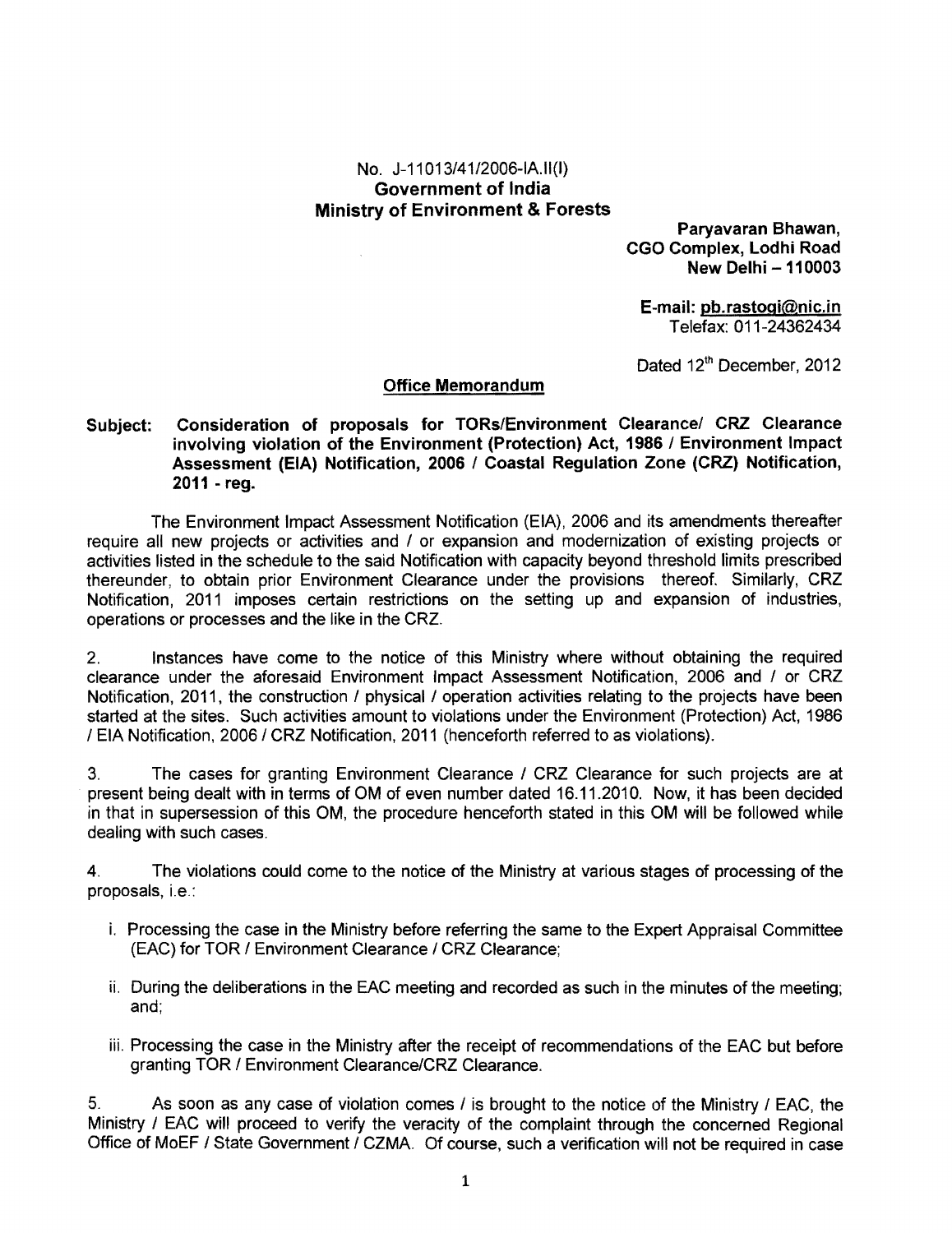## No. J-11013/41/2006-IAII(I) Government of India Ministry of Environment & Forests

Paryavaran Shawan, CGO Complex, Lodhi Road New Delhi - 110003

E-mail: pb.rastogi@nic.in Telefax: 011-24362434

Dated 12<sup>th</sup> December, 2012

## Office Memorandum

## Subject: Consideration of proposals for TORs/Environment Clearance/ CRZ Clearance involving violation of the Environment (Protection) Act, 1986 / Environment Impact Assessment (EIA) Notification, 2006 / Coastal Regulation Zone (CRZ) Notification, 2011 - reg.

The Environment Impact Assessment Notification (EIA), 2006 and its amendments thereafter require all new projects or activities and / or expansion and modernization of existing projects or activities listed in the schedule to the said Notification with capacity beyond threshold limits prescribed thereunder, to obtain prior Environment Clearance under the provisions thereof. Similarly, CRZ Notification, 2011 imposes certain restrictions on the setting up and expansion of industries, operations or processes and the like in the CRZ.

2. Instances have come to the notice of this Ministry where without obtaining the required clearance under the aforesaid Environment Impact Assessment Notification, 2006 and / or CRZ Notification, 2011, the construction / physical / operation activities relating to the projects have been started at the sites. Such activities amount to violations under the Environment (Protection) Act, 1986 / EIA Notification, 2006 / CRZ Notification, 2011 (henceforth referred to as violations).

3. The cases for granting Environment Clearance / CRZ Clearance for such projects are at present being dealt with in terms of OM of even number dated 16.11.2010. Now, it has been decided in that in supersession of this OM, the procedure henceforth stated in this OM will be followed while dealing with such cases.

4. The violations could come to the notice of the Ministry at various stages of processing of the proposals, i.e.:

- i. Processing the case in the Ministry before referring the same to the Expert Appraisal Committee (EAC) for TOR / Environment Clearance / CRZ Clearance;
- ii. During the deliberations in the EAC meeting and recorded as such in the minutes of the meeting; and;
- iii. Processing the case in the Ministry after the receipt of recommendations of the EAC but before granting TOR / Environment ClearancelCRZ Clearance.

5. As soon as any case of violation comes / is brought to the notice of the Ministry 1 EAC, the Ministry / EAC will proceed to verify the veracity of the complaint through the concerned Regional Office of MoEF / State Government / CZMA. Of course, such a verification will not be required in case